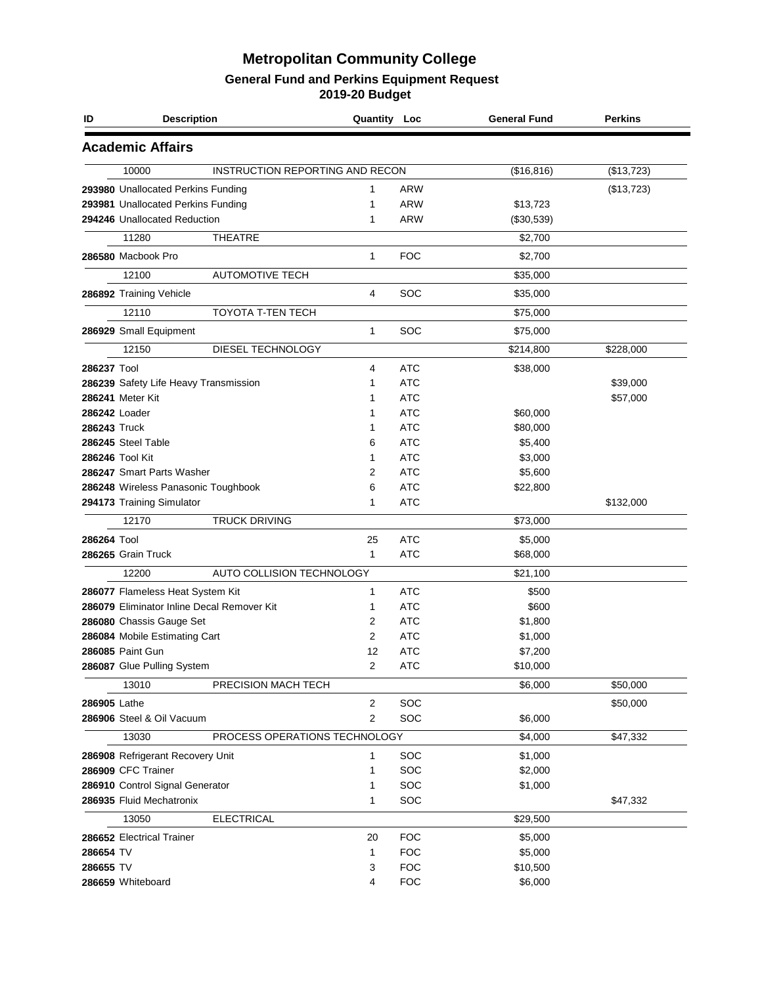| ID           | <b>Description</b>                         |                                 | Quantity Loc |            | <b>General Fund</b> | <b>Perkins</b> |
|--------------|--------------------------------------------|---------------------------------|--------------|------------|---------------------|----------------|
|              | <b>Academic Affairs</b>                    |                                 |              |            |                     |                |
|              | 10000                                      | INSTRUCTION REPORTING AND RECON |              |            | (\$16, 816)         | (\$13,723)     |
|              | 293980 Unallocated Perkins Funding         |                                 | 1            | <b>ARW</b> |                     | (\$13,723)     |
|              | 293981 Unallocated Perkins Funding         |                                 | 1            | <b>ARW</b> | \$13,723            |                |
|              | 294246 Unallocated Reduction               |                                 | 1            | <b>ARW</b> | (\$30,539)          |                |
|              | 11280                                      | <b>THEATRE</b>                  |              |            | \$2,700             |                |
|              | 286580 Macbook Pro                         |                                 | 1            | <b>FOC</b> | \$2,700             |                |
|              | 12100                                      | <b>AUTOMOTIVE TECH</b>          |              |            | \$35,000            |                |
|              | 286892 Training Vehicle                    |                                 | 4            | SOC        | \$35,000            |                |
|              | 12110                                      | TOYOTA T-TEN TECH               |              |            | \$75,000            |                |
|              | 286929 Small Equipment                     |                                 | 1            | SOC        | \$75,000            |                |
|              | 12150                                      | DIESEL TECHNOLOGY               |              |            | \$214,800           | \$228,000      |
| 286237 Tool  |                                            |                                 | 4            | <b>ATC</b> | \$38,000            |                |
|              | 286239 Safety Life Heavy Transmission      |                                 | 1            | <b>ATC</b> |                     | \$39,000       |
|              | 286241 Meter Kit                           |                                 | 1            | <b>ATC</b> |                     | \$57,000       |
|              | 286242 Loader                              |                                 | 1            | <b>ATC</b> | \$60,000            |                |
| 286243 Truck |                                            |                                 | 1            | <b>ATC</b> | \$80,000            |                |
|              | 286245 Steel Table                         |                                 | 6            | <b>ATC</b> | \$5,400             |                |
|              | 286246 Tool Kit                            |                                 | 1            | <b>ATC</b> | \$3,000             |                |
|              | 286247 Smart Parts Washer                  |                                 | 2            | <b>ATC</b> | \$5,600             |                |
|              | 286248 Wireless Panasonic Toughbook        |                                 | 6            | <b>ATC</b> | \$22,800            |                |
|              | 294173 Training Simulator                  |                                 | 1            | <b>ATC</b> |                     | \$132,000      |
|              | 12170                                      | <b>TRUCK DRIVING</b>            |              |            | \$73,000            |                |
|              |                                            |                                 |              |            |                     |                |
| 286264 Tool  |                                            |                                 | 25           | <b>ATC</b> | \$5,000             |                |
|              | 286265 Grain Truck                         |                                 | 1            | <b>ATC</b> | \$68,000            |                |
|              | 12200                                      | AUTO COLLISION TECHNOLOGY       |              |            | \$21,100            |                |
|              | 286077 Flameless Heat System Kit           |                                 | 1            | <b>ATC</b> | \$500               |                |
|              | 286079 Eliminator Inline Decal Remover Kit |                                 | 1            | <b>ATC</b> | \$600               |                |
|              | 286080 Chassis Gauge Set                   |                                 | 2            | <b>ATC</b> | \$1,800             |                |
|              | 286084 Mobile Estimating Cart              |                                 | 2            | <b>ATC</b> | \$1,000             |                |
|              | 286085 Paint Gun                           |                                 | 12           | <b>ATC</b> | \$7,200             |                |
|              | 286087 Glue Pulling System                 |                                 | 2            | <b>ATC</b> | \$10,000            |                |
|              | 13010                                      | PRECISION MACH TECH             |              |            | \$6,000             | \$50,000       |
| 286905 Lathe |                                            |                                 | 2            | SOC        |                     | \$50,000       |
|              | 286906 Steel & Oil Vacuum                  |                                 | 2            | SOC        | \$6,000             |                |
|              | 13030                                      | PROCESS OPERATIONS TECHNOLOGY   |              |            | \$4,000             | \$47,332       |
|              | 286908 Refrigerant Recovery Unit           |                                 | 1            | SOC        | \$1,000             |                |
|              | 286909 CFC Trainer                         |                                 | 1            | SOC        | \$2,000             |                |
|              | 286910 Control Signal Generator            |                                 | 1            | SOC        | \$1,000             |                |
|              | 286935 Fluid Mechatronix                   |                                 | 1            | SOC        |                     | \$47,332       |
|              | 13050                                      | <b>ELECTRICAL</b>               |              |            | \$29,500            |                |
|              | 286652 Electrical Trainer                  |                                 | 20           | <b>FOC</b> | \$5,000             |                |
| 286654 TV    |                                            |                                 | 1            | <b>FOC</b> | \$5,000             |                |
| 286655 TV    |                                            |                                 | 3            | <b>FOC</b> | \$10,500            |                |
|              | 286659 Whiteboard                          |                                 | 4            | <b>FOC</b> | \$6,000             |                |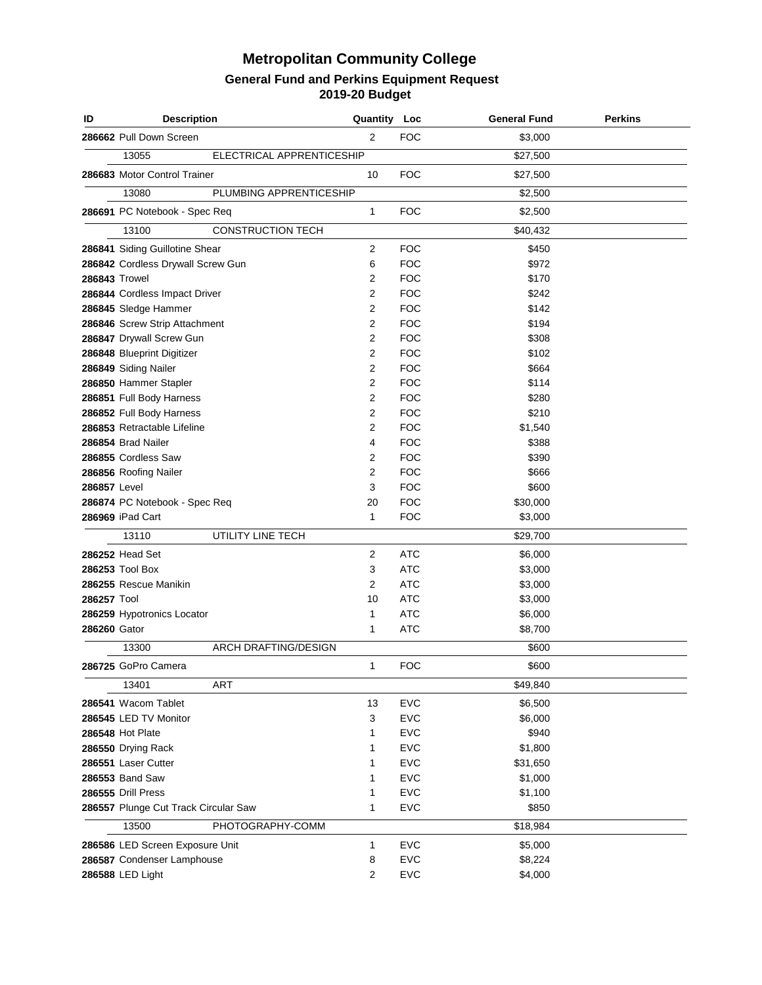| ID                   | <b>Description</b>                                                  |                           | Quantity Loc        |                          | <b>General Fund</b> | Perkins |
|----------------------|---------------------------------------------------------------------|---------------------------|---------------------|--------------------------|---------------------|---------|
|                      | 286662 Pull Down Screen                                             |                           | 2                   | <b>FOC</b>               | \$3,000             |         |
|                      | 13055                                                               | ELECTRICAL APPRENTICESHIP |                     |                          | \$27,500            |         |
|                      | 286683 Motor Control Trainer                                        |                           | 10                  | <b>FOC</b>               | \$27,500            |         |
|                      | 13080                                                               | PLUMBING APPRENTICESHIP   |                     |                          | \$2,500             |         |
|                      | 286691 PC Notebook - Spec Req                                       |                           | 1                   | <b>FOC</b>               | \$2,500             |         |
|                      | 13100                                                               | <b>CONSTRUCTION TECH</b>  |                     |                          | \$40,432            |         |
|                      |                                                                     |                           |                     |                          |                     |         |
|                      | 286841 Siding Guillotine Shear<br>286842 Cordless Drywall Screw Gun |                           | $\overline{2}$<br>6 | <b>FOC</b><br><b>FOC</b> | \$450<br>\$972      |         |
| <b>286843 Trowel</b> |                                                                     |                           | $\overline{2}$      | <b>FOC</b>               | \$170               |         |
|                      | 286844 Cordless Impact Driver                                       |                           | $\overline{2}$      | <b>FOC</b>               | \$242               |         |
|                      | 286845 Sledge Hammer                                                |                           | $\overline{2}$      | <b>FOC</b>               | \$142               |         |
|                      | 286846 Screw Strip Attachment                                       |                           | $\overline{2}$      | <b>FOC</b>               | \$194               |         |
|                      | 286847 Drywall Screw Gun                                            |                           | $\overline{2}$      | <b>FOC</b>               | \$308               |         |
|                      | 286848 Blueprint Digitizer                                          |                           | $\overline{2}$      | <b>FOC</b>               | \$102               |         |
|                      | 286849 Siding Nailer                                                |                           | $\overline{2}$      | <b>FOC</b>               | \$664               |         |
|                      | 286850 Hammer Stapler                                               |                           | $\overline{2}$      | <b>FOC</b>               | \$114               |         |
|                      | 286851 Full Body Harness                                            |                           | $\overline{2}$      | <b>FOC</b>               | \$280               |         |
|                      | 286852 Full Body Harness                                            |                           | $\overline{2}$      | <b>FOC</b>               | \$210               |         |
|                      | 286853 Retractable Lifeline                                         |                           | $\overline{2}$      | <b>FOC</b>               | \$1,540             |         |
|                      | 286854 Brad Nailer                                                  |                           | 4                   | <b>FOC</b>               | \$388               |         |
|                      | 286855 Cordless Saw                                                 |                           | $\overline{2}$      | <b>FOC</b>               | \$390               |         |
|                      | 286856 Roofing Nailer                                               |                           | $\overline{2}$      | <b>FOC</b>               | \$666               |         |
| 286857 Level         |                                                                     |                           | 3                   | <b>FOC</b>               | \$600               |         |
|                      | 286874 PC Notebook - Spec Req                                       |                           | 20                  | <b>FOC</b>               | \$30,000            |         |
|                      | 286969 iPad Cart                                                    |                           | $\mathbf{1}$        | <b>FOC</b>               | \$3,000             |         |
|                      | 13110                                                               | UTILITY LINE TECH         |                     |                          | \$29,700            |         |
|                      | 286252 Head Set                                                     |                           | 2                   | <b>ATC</b>               | \$6,000             |         |
|                      | 286253 Tool Box                                                     |                           | 3                   | <b>ATC</b>               | \$3,000             |         |
|                      | 286255 Rescue Manikin                                               |                           | $\overline{2}$      | <b>ATC</b>               | \$3,000             |         |
| 286257 Tool          |                                                                     |                           | 10                  | <b>ATC</b>               | \$3,000             |         |
|                      | 286259 Hypotronics Locator                                          |                           | 1                   | <b>ATC</b>               | \$6,000             |         |
| 286260 Gator         |                                                                     |                           | 1                   | <b>ATC</b>               | \$8,700             |         |
|                      | 13300                                                               | ARCH DRAFTING/DESIGN      |                     |                          | \$600               |         |
|                      | 286725 GoPro Camera                                                 |                           | 1                   | <b>FOC</b>               | \$600               |         |
|                      | 13401                                                               | ART                       |                     |                          | \$49,840            |         |
|                      | 286541 Wacom Tablet                                                 |                           | 13                  | <b>EVC</b>               | \$6,500             |         |
|                      | 286545 LED TV Monitor                                               |                           | 3                   | <b>EVC</b>               | \$6,000             |         |
|                      | 286548 Hot Plate                                                    |                           | 1                   | <b>EVC</b>               | \$940               |         |
|                      | 286550 Drying Rack                                                  |                           | 1                   | <b>EVC</b>               | \$1,800             |         |
|                      | 286551 Laser Cutter                                                 |                           | 1                   | <b>EVC</b>               | \$31,650            |         |
|                      | 286553 Band Saw                                                     |                           | 1                   | <b>EVC</b>               | \$1,000             |         |
|                      | 286555 Drill Press                                                  |                           | 1                   | <b>EVC</b>               | \$1,100             |         |
|                      | 286557 Plunge Cut Track Circular Saw                                |                           | 1                   | <b>EVC</b>               | \$850               |         |
|                      | 13500                                                               | PHOTOGRAPHY-COMM          |                     |                          | \$18,984            |         |
|                      | 286586 LED Screen Exposure Unit                                     |                           | 1                   | <b>EVC</b>               | \$5,000             |         |
|                      | 286587 Condenser Lamphouse                                          |                           | 8                   | <b>EVC</b>               | \$8,224             |         |
|                      | 286588 LED Light                                                    |                           | 2                   | <b>EVC</b>               | \$4,000             |         |
|                      |                                                                     |                           |                     |                          |                     |         |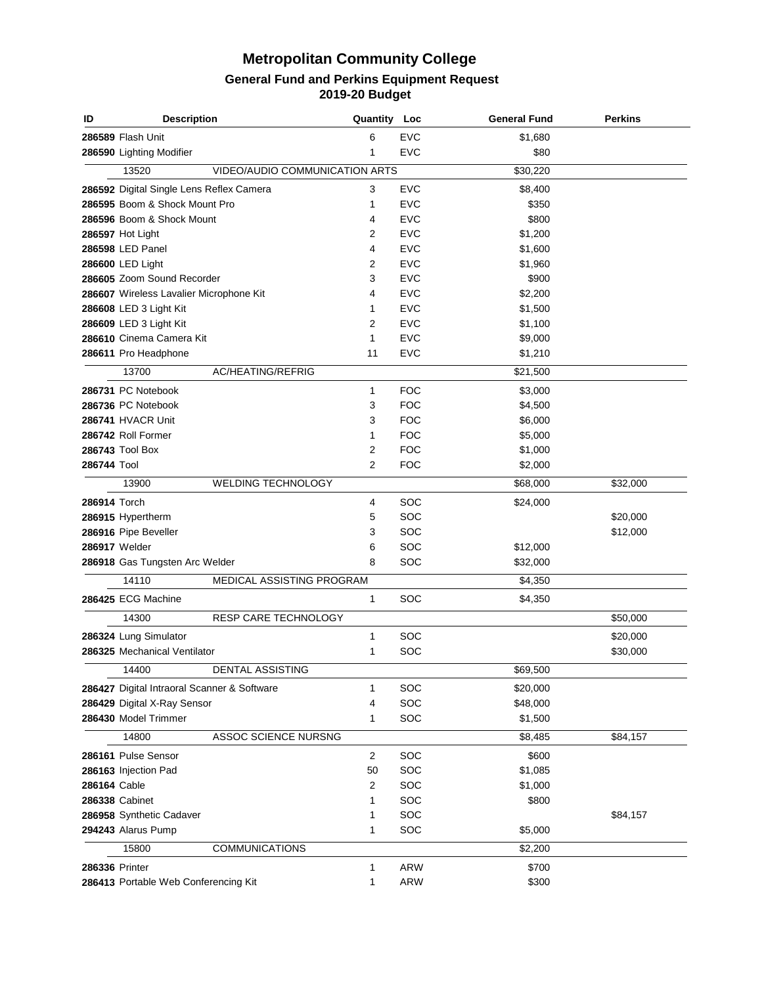| ID             | <b>Description</b>                          |                                | Quantity Loc   |            | <b>General Fund</b> | <b>Perkins</b> |
|----------------|---------------------------------------------|--------------------------------|----------------|------------|---------------------|----------------|
|                | 286589 Flash Unit                           |                                | 6              | <b>EVC</b> | \$1,680             |                |
|                | 286590 Lighting Modifier                    |                                | 1              | <b>EVC</b> | \$80                |                |
|                | 13520                                       | VIDEO/AUDIO COMMUNICATION ARTS |                |            | \$30,220            |                |
|                | 286592 Digital Single Lens Reflex Camera    |                                | 3              | <b>EVC</b> | \$8,400             |                |
|                | 286595 Boom & Shock Mount Pro               |                                | 1              | <b>EVC</b> | \$350               |                |
|                | 286596 Boom & Shock Mount                   |                                | 4              | <b>EVC</b> | \$800               |                |
|                | 286597 Hot Light                            |                                | $\overline{2}$ | <b>EVC</b> | \$1,200             |                |
|                | 286598 LED Panel                            |                                | 4              | <b>EVC</b> | \$1,600             |                |
|                | 286600 LED Light                            |                                | 2              | <b>EVC</b> | \$1,960             |                |
|                | 286605 Zoom Sound Recorder                  |                                | 3              | <b>EVC</b> | \$900               |                |
|                | 286607 Wireless Lavalier Microphone Kit     |                                | 4              | <b>EVC</b> | \$2,200             |                |
|                | 286608 LED 3 Light Kit                      |                                | 1              | <b>EVC</b> | \$1,500             |                |
|                | 286609 LED 3 Light Kit                      |                                | 2              | <b>EVC</b> | \$1,100             |                |
|                | 286610 Cinema Camera Kit                    |                                | 1              | <b>EVC</b> | \$9,000             |                |
|                | 286611 Pro Headphone                        |                                | 11             | <b>EVC</b> | \$1,210             |                |
|                | 13700                                       | AC/HEATING/REFRIG              |                |            | \$21,500            |                |
|                | 286731 PC Notebook                          |                                | 1              | <b>FOC</b> | \$3,000             |                |
|                | 286736 PC Notebook                          |                                | 3              | <b>FOC</b> | \$4,500             |                |
|                | 286741 HVACR Unit                           |                                | 3              | <b>FOC</b> | \$6,000             |                |
|                | 286742 Roll Former                          |                                | 1              | <b>FOC</b> | \$5,000             |                |
|                | 286743 Tool Box                             |                                | 2              | <b>FOC</b> | \$1,000             |                |
| 286744 Tool    |                                             |                                | 2              | <b>FOC</b> | \$2,000             |                |
|                | 13900                                       | WELDING TECHNOLOGY             |                |            | \$68,000            | \$32,000       |
|                |                                             |                                |                |            |                     |                |
| 286914 Torch   |                                             |                                | 4              | SOC<br>SOC | \$24,000            |                |
|                | 286915 Hypertherm                           |                                | 5              | SOC        |                     | \$20,000       |
|                | 286916 Pipe Beveller                        |                                | 3              | SOC        |                     | \$12,000       |
|                | 286917 Welder                               |                                | 6<br>8         | SOC        | \$12,000            |                |
|                | 286918 Gas Tungsten Arc Welder              |                                |                |            | \$32,000            |                |
|                | 14110                                       | MEDICAL ASSISTING PROGRAM      |                |            | \$4,350             |                |
|                | 286425 ECG Machine                          |                                | 1              | SOC        | \$4,350             |                |
|                | 14300                                       | RESP CARE TECHNOLOGY           |                |            |                     | \$50,000       |
|                | 286324 Lung Simulator                       |                                | 1              | SOC        |                     | \$20,000       |
|                | 286325 Mechanical Ventilator                |                                | 1              | SOC        |                     | \$30,000       |
|                | 14400                                       | DENTAL ASSISTING               |                |            | \$69,500            |                |
|                | 286427 Digital Intraoral Scanner & Software |                                | 1              | SOC        | \$20,000            |                |
|                | 286429 Digital X-Ray Sensor                 |                                | 4              | SOC        | \$48,000            |                |
|                | 286430 Model Trimmer                        |                                | 1              | SOC        | \$1,500             |                |
|                | 14800                                       | ASSOC SCIENCE NURSNG           |                |            | \$8,485             | \$84,157       |
|                | 286161 Pulse Sensor                         |                                | 2              | SOC        | \$600               |                |
|                | 286163 Injection Pad                        |                                | 50             | SOC        | \$1,085             |                |
| 286164 Cable   |                                             |                                | 2              | SOC        | \$1,000             |                |
|                | 286338 Cabinet                              |                                | 1              | SOC        | \$800               |                |
|                | 286958 Synthetic Cadaver                    |                                | 1              | SOC        |                     | \$84,157       |
|                | 294243 Alarus Pump                          |                                | 1              | SOC        | \$5,000             |                |
|                |                                             |                                |                |            |                     |                |
|                | 15800                                       | <b>COMMUNICATIONS</b>          |                |            | \$2,200             |                |
| 286336 Printer |                                             |                                | 1              | <b>ARW</b> | \$700               |                |
|                | 286413 Portable Web Conferencing Kit        |                                | 1              | <b>ARW</b> | \$300               |                |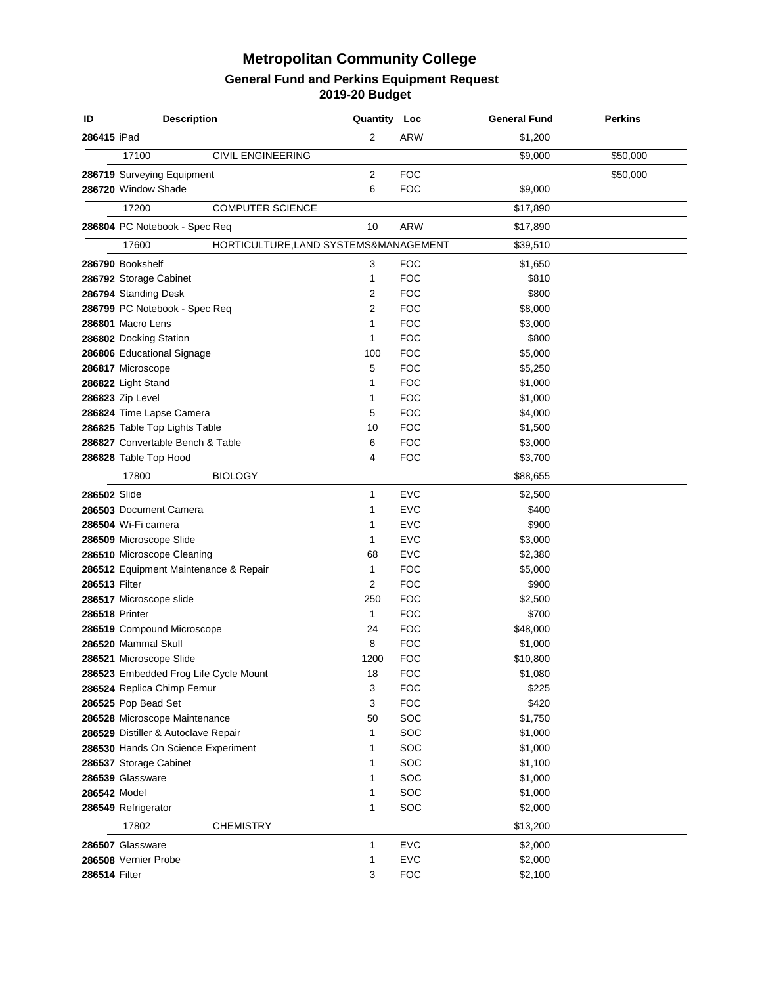| ID            | <b>Description</b>                    |                                       | Quantity Loc   |            | <b>General Fund</b> | <b>Perkins</b> |
|---------------|---------------------------------------|---------------------------------------|----------------|------------|---------------------|----------------|
| 286415 iPad   |                                       |                                       | 2              | <b>ARW</b> | \$1,200             |                |
|               | 17100                                 | <b>CIVIL ENGINEERING</b>              |                |            | \$9,000             | \$50,000       |
|               | 286719 Surveying Equipment            |                                       | 2              | <b>FOC</b> |                     | \$50,000       |
|               | 286720 Window Shade                   |                                       | 6              | <b>FOC</b> | \$9,000             |                |
|               | 17200                                 | <b>COMPUTER SCIENCE</b>               |                |            | \$17,890            |                |
|               | 286804 PC Notebook - Spec Req         |                                       | 10             | <b>ARW</b> | \$17,890            |                |
|               |                                       |                                       |                |            |                     |                |
|               | 17600                                 | HORTICULTURE, LAND SYSTEMS&MANAGEMENT |                |            | \$39,510            |                |
|               | 286790 Bookshelf                      |                                       | 3              | <b>FOC</b> | \$1,650             |                |
|               | 286792 Storage Cabinet                |                                       | 1              | <b>FOC</b> | \$810               |                |
|               | 286794 Standing Desk                  |                                       | 2              | <b>FOC</b> | \$800               |                |
|               | 286799 PC Notebook - Spec Req         |                                       | $\overline{2}$ | <b>FOC</b> | \$8,000             |                |
|               | 286801 Macro Lens                     |                                       | $\mathbf{1}$   | <b>FOC</b> | \$3,000             |                |
|               | 286802 Docking Station                |                                       | 1              | <b>FOC</b> | \$800               |                |
|               | 286806 Educational Signage            |                                       | 100            | <b>FOC</b> | \$5,000             |                |
|               | 286817 Microscope                     |                                       | 5              | <b>FOC</b> | \$5,250             |                |
|               | 286822 Light Stand                    |                                       | 1              | <b>FOC</b> | \$1,000             |                |
|               | 286823 Zip Level                      |                                       | 1              | <b>FOC</b> | \$1,000             |                |
|               | 286824 Time Lapse Camera              |                                       | 5              | <b>FOC</b> | \$4,000             |                |
|               | 286825 Table Top Lights Table         |                                       | 10             | <b>FOC</b> | \$1,500             |                |
|               | 286827 Convertable Bench & Table      |                                       | 6              | <b>FOC</b> | \$3,000             |                |
|               | 286828 Table Top Hood                 |                                       | 4              | <b>FOC</b> | \$3,700             |                |
|               | 17800                                 | <b>BIOLOGY</b>                        |                |            | \$88,655            |                |
| 286502 Slide  |                                       |                                       | 1              | <b>EVC</b> | \$2,500             |                |
|               | 286503 Document Camera                |                                       | 1              | <b>EVC</b> | \$400               |                |
|               | 286504 Wi-Fi camera                   |                                       | 1              | <b>EVC</b> | \$900               |                |
|               | 286509 Microscope Slide               |                                       | 1              | <b>EVC</b> | \$3,000             |                |
|               | 286510 Microscope Cleaning            |                                       | 68             | <b>EVC</b> | \$2,380             |                |
|               | 286512 Equipment Maintenance & Repair |                                       | $\mathbf{1}$   | <b>FOC</b> | \$5,000             |                |
| 286513 Filter |                                       |                                       | $\overline{2}$ | <b>FOC</b> | \$900               |                |
|               | 286517 Microscope slide               |                                       | 250            | <b>FOC</b> | \$2,500             |                |
|               | 286518 Printer                        |                                       | $\mathbf{1}$   | <b>FOC</b> | \$700               |                |
|               | 286519 Compound Microscope            |                                       | 24             | <b>FOC</b> | \$48,000            |                |
|               | 286520 Mammal Skull                   |                                       | 8              | <b>FOC</b> | \$1,000             |                |
|               | 286521 Microscope Slide               |                                       | 1200           | <b>FOC</b> | \$10,800            |                |
|               | 286523 Embedded Frog Life Cycle Mount |                                       | 18             | <b>FOC</b> | \$1,080             |                |
|               |                                       |                                       | 3              | <b>FOC</b> | \$225               |                |
|               | 286524 Replica Chimp Femur            |                                       | 3              | <b>FOC</b> | \$420               |                |
|               | 286525 Pop Bead Set                   |                                       |                |            |                     |                |
|               | 286528 Microscope Maintenance         |                                       | 50<br>1        | SOC<br>SOC | \$1,750             |                |
|               | 286529 Distiller & Autoclave Repair   |                                       |                |            | \$1,000             |                |
|               | 286530 Hands On Science Experiment    |                                       | 1              | SOC        | \$1,000             |                |
|               | 286537 Storage Cabinet                |                                       | 1              | SOC        | \$1,100             |                |
|               | 286539 Glassware                      |                                       | 1              | SOC        | \$1,000             |                |
| 286542 Model  |                                       |                                       | 1              | SOC        | \$1,000             |                |
|               | 286549 Refrigerator                   |                                       | 1              | SOC        | \$2,000             |                |
|               | 17802                                 | <b>CHEMISTRY</b>                      |                |            | \$13,200            |                |
|               | 286507 Glassware                      |                                       | 1              | <b>EVC</b> | \$2,000             |                |
|               | 286508 Vernier Probe                  |                                       | 1              | <b>EVC</b> | \$2,000             |                |
| 286514 Filter |                                       |                                       | 3              | <b>FOC</b> | \$2,100             |                |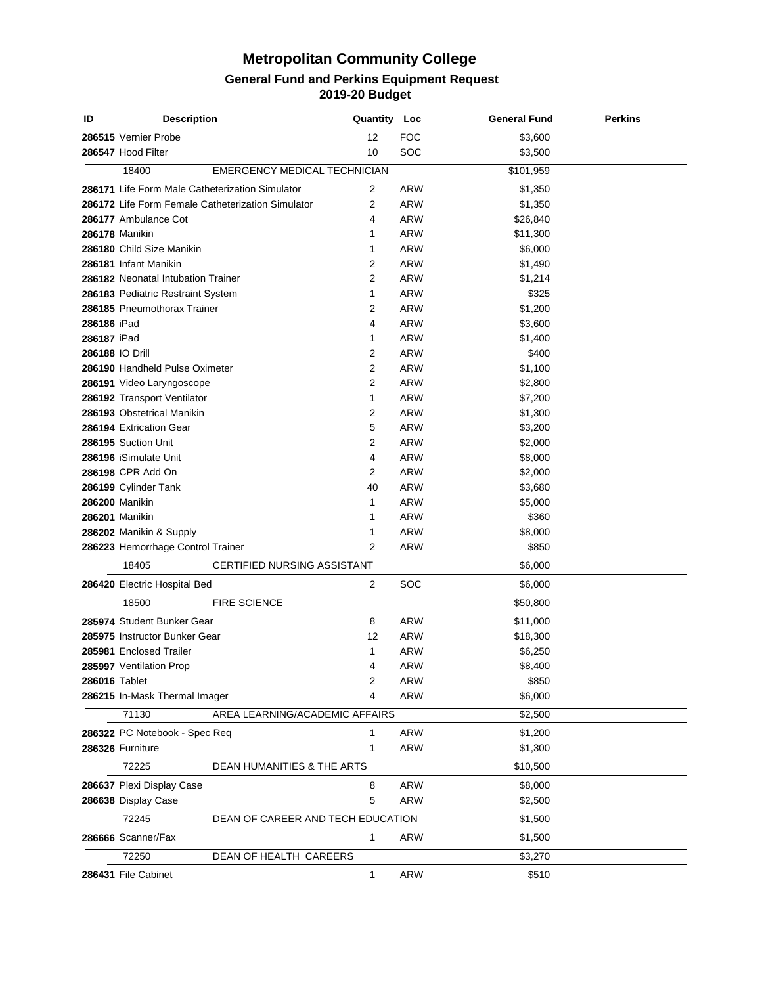| ID            | <b>Description</b>                                | <b>Quantity Loc</b> |            | <b>General Fund</b> | <b>Perkins</b> |
|---------------|---------------------------------------------------|---------------------|------------|---------------------|----------------|
|               | 286515 Vernier Probe                              | 12                  | <b>FOC</b> | \$3,600             |                |
|               | 286547 Hood Filter                                | 10                  | SOC        | \$3,500             |                |
|               | 18400<br><b>EMERGENCY MEDICAL TECHNICIAN</b>      |                     |            | \$101,959           |                |
|               | 286171 Life Form Male Catheterization Simulator   | 2                   | <b>ARW</b> | \$1,350             |                |
|               | 286172 Life Form Female Catheterization Simulator | 2                   | <b>ARW</b> | \$1,350             |                |
|               | 286177 Ambulance Cot                              | 4                   | <b>ARW</b> | \$26,840            |                |
|               | 286178 Manikin                                    | 1                   | <b>ARW</b> | \$11,300            |                |
|               | 286180 Child Size Manikin                         | 1                   | <b>ARW</b> | \$6,000             |                |
|               | 286181 Infant Manikin                             | 2                   | <b>ARW</b> | \$1,490             |                |
|               | 286182 Neonatal Intubation Trainer                | 2                   | <b>ARW</b> | \$1,214             |                |
|               | 286183 Pediatric Restraint System                 | 1                   | <b>ARW</b> | \$325               |                |
|               | 286185 Pneumothorax Trainer                       | 2                   | <b>ARW</b> | \$1,200             |                |
| 286186 iPad   |                                                   | 4                   | <b>ARW</b> | \$3,600             |                |
| 286187 iPad   |                                                   | 1                   | ARW        | \$1,400             |                |
|               | 286188 IO Drill                                   | 2                   | ARW        | \$400               |                |
|               | 286190 Handheld Pulse Oximeter                    | $\overline{2}$      | ARW        | \$1,100             |                |
|               | 286191 Video Laryngoscope                         | 2                   | ARW        | \$2,800             |                |
|               | 286192 Transport Ventilator                       | 1                   | ARW        | \$7,200             |                |
|               | 286193 Obstetrical Manikin                        | 2                   | ARW        | \$1,300             |                |
|               | 286194 Extrication Gear                           | 5                   | ARW        | \$3,200             |                |
|               | 286195 Suction Unit                               | 2                   | ARW        | \$2,000             |                |
|               | 286196 iSimulate Unit                             | 4                   | ARW        | \$8,000             |                |
|               | 286198 CPR Add On                                 | 2                   | ARW        | \$2,000             |                |
|               | 286199 Cylinder Tank                              | 40                  | ARW        | \$3,680             |                |
|               | 286200 Manikin                                    | 1                   | ARW        | \$5,000             |                |
|               | 286201 Manikin                                    | 1                   | ARW        | \$360               |                |
|               | 286202 Manikin & Supply                           | 1                   | ARW        | \$8,000             |                |
|               | 286223 Hemorrhage Control Trainer                 | 2                   | <b>ARW</b> | \$850               |                |
|               |                                                   |                     |            |                     |                |
|               | 18405<br><b>CERTIFIED NURSING ASSISTANT</b>       |                     |            | \$6,000             |                |
|               | 286420 Electric Hospital Bed                      | 2                   | SOC        | \$6,000             |                |
|               | 18500<br><b>FIRE SCIENCE</b>                      |                     |            | \$50,800            |                |
|               | 285974 Student Bunker Gear                        | 8                   | ARW        | \$11,000            |                |
|               | 285975 Instructor Bunker Gear                     | 12                  | ARW        | \$18,300            |                |
|               | 285981 Enclosed Trailer                           | 1                   | ARW        | \$6,250             |                |
|               | 285997 Ventilation Prop                           | 4                   | ARW        | \$8,400             |                |
| 286016 Tablet |                                                   | 2                   | ARW        | \$850               |                |
|               | 286215 In-Mask Thermal Imager                     | 4                   | <b>ARW</b> | \$6,000             |                |
|               | 71130<br>AREA LEARNING/ACADEMIC AFFAIRS           |                     |            | \$2,500             |                |
|               | 286322 PC Notebook - Spec Req                     | 1                   | ARW        | \$1,200             |                |
|               | 286326 Furniture                                  | 1                   | <b>ARW</b> | \$1,300             |                |
|               | 72225<br>DEAN HUMANITIES & THE ARTS               |                     |            | \$10,500            |                |
|               | 286637 Plexi Display Case                         | 8                   | <b>ARW</b> | \$8,000             |                |
|               | 286638 Display Case                               | 5                   | <b>ARW</b> | \$2,500             |                |
|               | 72245<br>DEAN OF CAREER AND TECH EDUCATION        |                     |            | \$1,500             |                |
|               | 286666 Scanner/Fax                                | $\mathbf{1}$        | <b>ARW</b> | \$1,500             |                |
|               | 72250<br>DEAN OF HEALTH CAREERS                   |                     |            |                     |                |
|               |                                                   |                     |            | \$3,270             |                |
|               | 286431 File Cabinet                               | $\mathbf{1}$        | <b>ARW</b> | \$510               |                |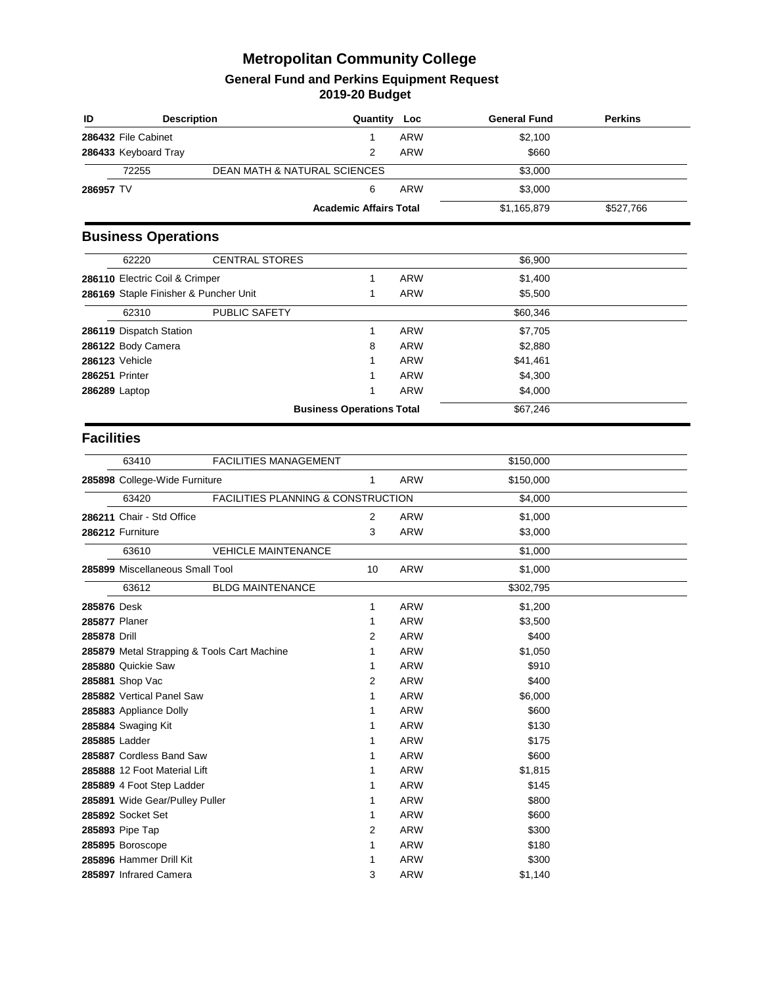| ID                | <b>Description</b>                          |                                         | Quantity Loc                     |                          | <b>General Fund</b> | <b>Perkins</b> |
|-------------------|---------------------------------------------|-----------------------------------------|----------------------------------|--------------------------|---------------------|----------------|
|                   | 286432 File Cabinet                         |                                         | 1                                | <b>ARW</b>               | \$2,100             |                |
|                   | 286433 Keyboard Tray                        |                                         | 2                                | <b>ARW</b>               | \$660               |                |
|                   | 72255                                       | <b>DEAN MATH &amp; NATURAL SCIENCES</b> |                                  |                          | \$3,000             |                |
| 286957 TV         |                                             |                                         | 6                                | <b>ARW</b>               | \$3,000             |                |
|                   |                                             |                                         | <b>Academic Affairs Total</b>    |                          | \$1,165,879         | \$527,766      |
|                   | <b>Business Operations</b>                  |                                         |                                  |                          |                     |                |
|                   | 62220                                       | <b>CENTRAL STORES</b>                   |                                  |                          | \$6,900             |                |
|                   |                                             |                                         |                                  |                          |                     |                |
|                   | 286110 Electric Coil & Crimper              |                                         | 1<br>1                           | <b>ARW</b><br><b>ARW</b> | \$1,400             |                |
|                   | 286169 Staple Finisher & Puncher Unit       |                                         |                                  |                          | \$5,500             |                |
|                   | 62310                                       | PUBLIC SAFETY                           |                                  |                          | \$60,346            |                |
|                   | 286119 Dispatch Station                     |                                         | 1                                | <b>ARW</b>               | \$7,705             |                |
|                   | 286122 Body Camera                          |                                         | 8                                | <b>ARW</b>               | \$2,880             |                |
|                   | 286123 Vehicle                              |                                         | 1                                | <b>ARW</b>               | \$41,461            |                |
| 286251 Printer    |                                             |                                         | 1                                | <b>ARW</b>               | \$4,300             |                |
| 286289 Laptop     |                                             |                                         | 1                                | <b>ARW</b>               | \$4,000             |                |
|                   |                                             |                                         | <b>Business Operations Total</b> |                          | \$67,246            |                |
| <b>Facilities</b> |                                             |                                         |                                  |                          |                     |                |
|                   | 63410                                       | <b>FACILITIES MANAGEMENT</b>            |                                  |                          | \$150,000           |                |
|                   | 285898 College-Wide Furniture               |                                         | 1                                | <b>ARW</b>               | \$150,000           |                |
|                   | 63420                                       | FACILITIES PLANNING & CONSTRUCTION      |                                  |                          | \$4,000             |                |
|                   | 286211 Chair - Std Office                   |                                         | 2                                | <b>ARW</b>               | \$1,000             |                |
|                   | 286212 Furniture                            |                                         | 3                                | <b>ARW</b>               | \$3,000             |                |
|                   | 63610                                       | <b>VEHICLE MAINTENANCE</b>              |                                  |                          | \$1,000             |                |
|                   | 285899 Miscellaneous Small Tool             |                                         | 10                               | <b>ARW</b>               | \$1,000             |                |
|                   | 63612                                       | <b>BLDG MAINTENANCE</b>                 |                                  |                          | \$302,795           |                |
| 285876 Desk       |                                             |                                         | 1                                | <b>ARW</b>               | \$1,200             |                |
| 285877 Planer     |                                             |                                         | 1                                | <b>ARW</b>               | \$3,500             |                |
| 285878 Drill      |                                             |                                         | 2                                | <b>ARW</b>               | \$400               |                |
|                   | 285879 Metal Strapping & Tools Cart Machine |                                         | 1                                | <b>ARW</b>               | \$1,050             |                |
|                   | 285880 Quickie Saw                          |                                         | 1                                | <b>ARW</b>               | \$910               |                |
|                   | 285881 Shop Vac                             |                                         | 2                                | <b>ARW</b>               | \$400               |                |
|                   | 285882 Vertical Panel Saw                   |                                         | 1                                | <b>ARW</b>               | \$6,000             |                |
|                   | 285883 Appliance Dolly                      |                                         | 1                                | <b>ARW</b>               | \$600               |                |
|                   | 285884 Swaging Kit                          |                                         | 1                                | <b>ARW</b>               | \$130               |                |
|                   | 285885 Ladder                               |                                         | 1                                | <b>ARW</b>               | \$175               |                |
|                   | 285887 Cordless Band Saw                    |                                         | 1                                | <b>ARW</b>               | \$600               |                |
|                   | 285888 12 Foot Material Lift                |                                         | 1                                | <b>ARW</b>               | \$1,815             |                |
|                   | 285889 4 Foot Step Ladder                   |                                         | 1                                | <b>ARW</b>               | \$145               |                |
|                   | 285891 Wide Gear/Pulley Puller              |                                         | 1                                | <b>ARW</b>               | \$800               |                |
|                   | 285892 Socket Set                           |                                         | 1                                | <b>ARW</b>               | \$600               |                |
|                   | 285893 Pipe Tap                             |                                         | 2                                | <b>ARW</b>               | \$300               |                |
|                   | 285895 Boroscope                            |                                         | 1                                | <b>ARW</b>               | \$180               |                |
|                   | 285896 Hammer Drill Kit                     |                                         | 1                                | <b>ARW</b>               | \$300               |                |
|                   | 285897 Infrared Camera                      |                                         | 3                                | <b>ARW</b>               | \$1,140             |                |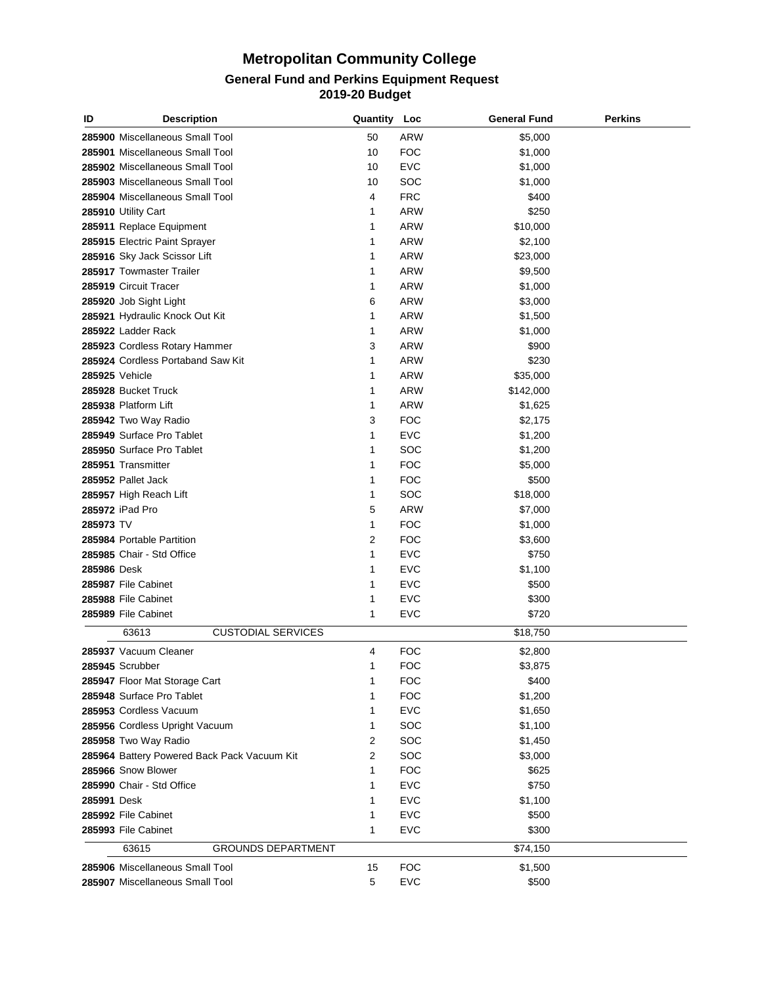| ID          | <b>Description</b>                          | Quantity Loc |             | <b>General Fund</b> | <b>Perkins</b> |
|-------------|---------------------------------------------|--------------|-------------|---------------------|----------------|
|             | 285900 Miscellaneous Small Tool             | 50           | ARW         | \$5,000             |                |
|             | 285901 Miscellaneous Small Tool             | 10           | <b>FOC</b>  | \$1,000             |                |
|             | 285902 Miscellaneous Small Tool             | 10           | <b>EVC</b>  | \$1,000             |                |
|             | 285903 Miscellaneous Small Tool             | 10           | SOC         | \$1,000             |                |
|             | 285904 Miscellaneous Small Tool             | 4            | <b>FRC</b>  | \$400               |                |
|             | 285910 Utility Cart                         | 1            | ARW         | \$250               |                |
|             | 285911 Replace Equipment                    | 1            | ARW         | \$10,000            |                |
|             | 285915 Electric Paint Sprayer               | 1            | ARW         | \$2,100             |                |
|             | 285916 Sky Jack Scissor Lift                | 1            | ARW         | \$23,000            |                |
|             | 285917 Towmaster Trailer                    | 1            | ARW         | \$9,500             |                |
|             | 285919 Circuit Tracer                       | 1            | ARW         | \$1,000             |                |
|             | 285920 Job Sight Light                      | 6            | ARW         | \$3,000             |                |
|             | 285921 Hydraulic Knock Out Kit              | 1            | ARW         | \$1,500             |                |
|             | 285922 Ladder Rack                          | 1            | ARW         | \$1,000             |                |
|             | 285923 Cordless Rotary Hammer               | 3            | ARW         | \$900               |                |
|             | 285924 Cordless Portaband Saw Kit           | 1            | ARW         | \$230               |                |
|             | 285925 Vehicle                              | 1            | ARW         | \$35,000            |                |
|             | 285928 Bucket Truck                         | 1            | ARW         | \$142,000           |                |
|             | 285938 Platform Lift                        | 1            | ARW         | \$1,625             |                |
|             | 285942 Two Way Radio                        | 3            | <b>FOC</b>  | \$2,175             |                |
|             | 285949 Surface Pro Tablet                   | 1            | <b>EVC</b>  | \$1,200             |                |
|             | 285950 Surface Pro Tablet                   | 1            | SOC         | \$1,200             |                |
|             | 285951 Transmitter                          | 1            | <b>FOC</b>  | \$5,000             |                |
|             | 285952 Pallet Jack                          | 1            | <b>FOC</b>  | \$500               |                |
|             | 285957 High Reach Lift                      | 1            | SOC         | \$18,000            |                |
|             | 285972 iPad Pro                             | 5            | ARW         | \$7,000             |                |
| 285973 TV   |                                             | 1            | <b>FOC</b>  | \$1,000             |                |
|             | 285984 Portable Partition                   | 2            | <b>FOC</b>  | \$3,600             |                |
|             | 285985 Chair - Std Office                   | 1            | <b>EVC</b>  | \$750               |                |
| 285986 Desk |                                             | 1            | <b>EVC</b>  | \$1,100             |                |
|             | 285987 File Cabinet                         | 1            | EVC         | \$500               |                |
|             | 285988 File Cabinet                         | 1            | <b>EVC</b>  | \$300               |                |
|             | 285989 File Cabinet                         | 1            | <b>EVC</b>  | \$720               |                |
|             | <b>CUSTODIAL SERVICES</b><br>63613          |              |             | \$18,750            |                |
|             | 285937 Vacuum Cleaner                       | 4            | FOC         | \$2,800             |                |
|             | 285945 Scrubber                             | 1            | <b>FOC</b>  | \$3,875             |                |
|             | 285947 Floor Mat Storage Cart               | 1            | <b>FOC</b>  | \$400               |                |
|             | 285948 Surface Pro Tablet                   | 1            | <b>FOC</b>  | \$1,200             |                |
|             | 285953 Cordless Vacuum                      | 1            | <b>EVC</b>  | \$1,650             |                |
|             | 285956 Cordless Upright Vacuum              | 1            | SOC         | \$1,100             |                |
|             | 285958 Two Way Radio                        | 2            | SOC         | \$1,450             |                |
|             | 285964 Battery Powered Back Pack Vacuum Kit | 2            | SOC         | \$3,000             |                |
|             | 285966 Snow Blower                          | 1            | <b>FOC</b>  | \$625               |                |
|             | 285990 Chair - Std Office                   | 1            | <b>EVC</b>  | \$750               |                |
| 285991 Desk |                                             | 1            | <b>EVC</b>  | \$1,100             |                |
|             | 285992 File Cabinet                         | 1            | <b>EVC</b>  | \$500               |                |
|             | 285993 File Cabinet                         | 1            | <b>EVC</b>  | \$300               |                |
|             |                                             |              |             |                     |                |
|             | 63615<br><b>GROUNDS DEPARTMENT</b>          |              |             | \$74,150            |                |
|             | 285906 Miscellaneous Small Tool             | 15           | <b>FOC</b>  | \$1,500             |                |
|             | 285907 Miscellaneous Small Tool             | 5            | ${\sf EVC}$ | \$500               |                |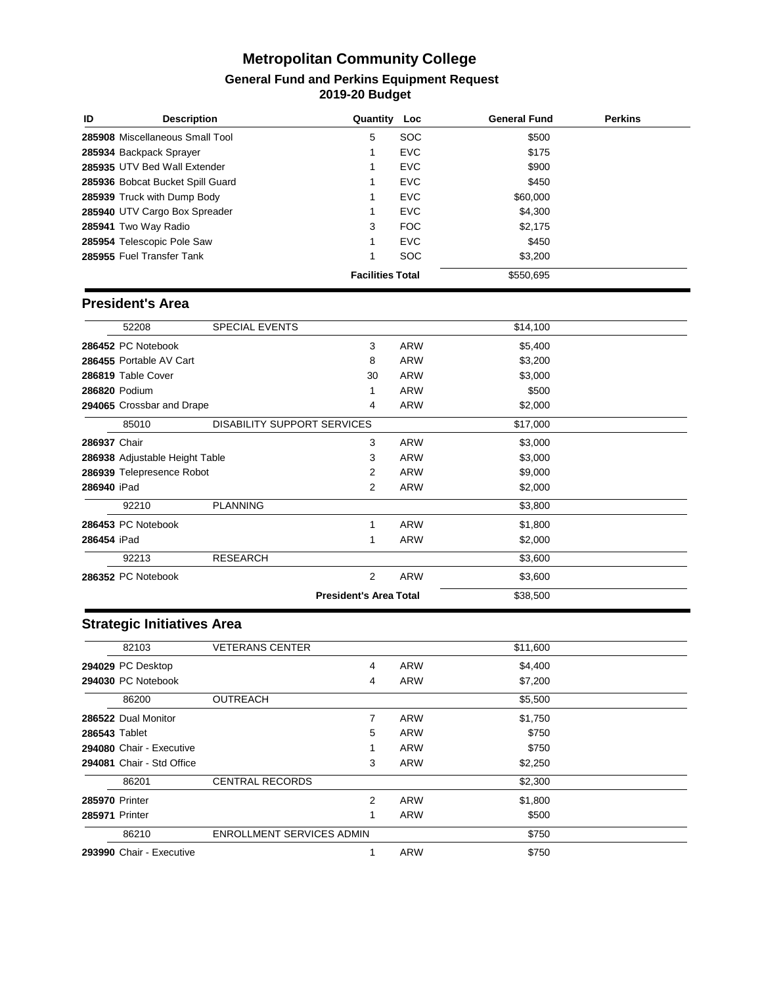| ID<br><b>Description</b>         | Quantity                | Loc        | <b>General Fund</b> | <b>Perkins</b> |
|----------------------------------|-------------------------|------------|---------------------|----------------|
| 285908 Miscellaneous Small Tool  | 5                       | <b>SOC</b> | \$500               |                |
| 285934 Backpack Sprayer          |                         | <b>EVC</b> | \$175               |                |
| 285935 UTV Bed Wall Extender     |                         | <b>EVC</b> | \$900               |                |
| 285936 Bobcat Bucket Spill Guard |                         | <b>EVC</b> | \$450               |                |
| 285939 Truck with Dump Body      |                         | <b>EVC</b> | \$60,000            |                |
| 285940 UTV Cargo Box Spreader    |                         | <b>EVC</b> | \$4,300             |                |
| 285941 Two Way Radio             | 3                       | FOC        | \$2.175             |                |
| 285954 Telescopic Pole Saw       |                         | <b>EVC</b> | \$450               |                |
| 285955 Fuel Transfer Tank        | 1                       | <b>SOC</b> | \$3,200             |                |
|                                  | <b>Facilities Total</b> |            | \$550.695           |                |

#### **President's Area**

|              | 52208                          | <b>SPECIAL EVENTS</b>              |                               |            | \$14,100 |  |
|--------------|--------------------------------|------------------------------------|-------------------------------|------------|----------|--|
|              | 286452 PC Notebook             |                                    | 3                             | <b>ARW</b> | \$5,400  |  |
|              | 286455 Portable AV Cart        |                                    | 8                             | ARW        | \$3,200  |  |
|              | 286819 Table Cover             |                                    | 30                            | <b>ARW</b> | \$3,000  |  |
|              | 286820 Podium                  |                                    |                               | <b>ARW</b> | \$500    |  |
|              | 294065 Crossbar and Drape      |                                    | 4                             | <b>ARW</b> | \$2,000  |  |
|              | 85010                          | <b>DISABILITY SUPPORT SERVICES</b> |                               |            | \$17,000 |  |
| 286937 Chair |                                |                                    | 3                             | <b>ARW</b> | \$3,000  |  |
|              | 286938 Adjustable Height Table |                                    | 3                             | <b>ARW</b> | \$3,000  |  |
|              | 286939 Telepresence Robot      |                                    | 2                             | <b>ARW</b> | \$9,000  |  |
| 286940 iPad  |                                |                                    | 2                             | <b>ARW</b> | \$2,000  |  |
|              | 92210                          | <b>PLANNING</b>                    |                               |            | \$3,800  |  |
|              | 286453 PC Notebook             |                                    | 1                             | ARW        | \$1,800  |  |
| 286454 iPad  |                                |                                    | 1                             | <b>ARW</b> | \$2,000  |  |
|              | 92213                          | <b>RESEARCH</b>                    |                               |            | \$3,600  |  |
|              | 286352 PC Notebook             |                                    | $\overline{2}$                | <b>ARW</b> | \$3,600  |  |
|              |                                |                                    | <b>President's Area Total</b> |            | \$38,500 |  |

### **Strategic Initiatives Area**

|                | 82103                     | <b>VETERANS CENTER</b>           |   |            | \$11,600 |  |
|----------------|---------------------------|----------------------------------|---|------------|----------|--|
|                | 294029 PC Desktop         |                                  | 4 | <b>ARW</b> | \$4,400  |  |
|                | 294030 PC Notebook        |                                  | 4 | <b>ARW</b> | \$7,200  |  |
|                | 86200                     | <b>OUTREACH</b>                  |   |            | \$5,500  |  |
|                | 286522 Dual Monitor       |                                  | 7 | <b>ARW</b> | \$1,750  |  |
| 286543 Tablet  |                           |                                  | 5 | <b>ARW</b> | \$750    |  |
|                | 294080 Chair - Executive  |                                  |   | ARW        | \$750    |  |
|                | 294081 Chair - Std Office |                                  | 3 | ARW        | \$2,250  |  |
|                | 86201                     | <b>CENTRAL RECORDS</b>           |   |            | \$2,300  |  |
| 285970 Printer |                           |                                  | 2 | <b>ARW</b> | \$1,800  |  |
| 285971 Printer |                           |                                  |   | <b>ARW</b> | \$500    |  |
|                | 86210                     | <b>ENROLLMENT SERVICES ADMIN</b> |   |            | \$750    |  |
|                | 293990 Chair - Executive  |                                  |   | <b>ARW</b> | \$750    |  |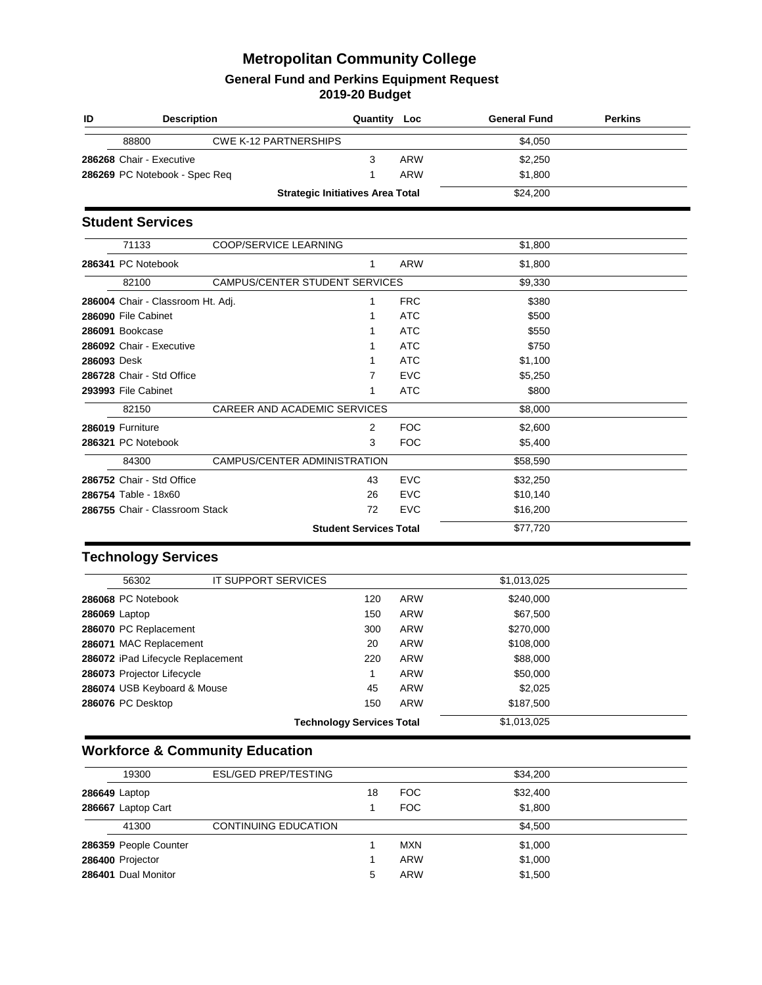| ID          | <b>Description</b>                |                                         | Quantity                      | Loc        | <b>General Fund</b> | <b>Perkins</b> |
|-------------|-----------------------------------|-----------------------------------------|-------------------------------|------------|---------------------|----------------|
|             | 88800                             | <b>CWE K-12 PARTNERSHIPS</b>            |                               |            | \$4,050             |                |
|             | 286268 Chair - Executive          |                                         | 3                             | <b>ARW</b> | \$2,250             |                |
|             | 286269 PC Notebook - Spec Req     |                                         | 1                             | <b>ARW</b> | \$1,800             |                |
|             |                                   | <b>Strategic Initiatives Area Total</b> |                               |            | \$24,200            |                |
|             | <b>Student Services</b>           |                                         |                               |            |                     |                |
|             | 71133                             | COOP/SERVICE LEARNING                   |                               |            | \$1,800             |                |
|             | 286341 PC Notebook                |                                         | 1                             | <b>ARW</b> | \$1,800             |                |
|             | 82100                             | <b>CAMPUS/CENTER STUDENT SERVICES</b>   |                               |            | \$9,330             |                |
|             | 286004 Chair - Classroom Ht. Adj. |                                         | 1                             | <b>FRC</b> | \$380               |                |
|             | 286090 File Cabinet               |                                         | 1                             | <b>ATC</b> | \$500               |                |
|             | 286091 Bookcase                   |                                         |                               | <b>ATC</b> | \$550               |                |
|             | 286092 Chair - Executive          |                                         |                               | <b>ATC</b> | \$750               |                |
| 286093 Desk |                                   |                                         | 1                             | <b>ATC</b> | \$1,100             |                |
|             | 286728 Chair - Std Office         |                                         | 7                             | <b>EVC</b> | \$5,250             |                |
|             | 293993 File Cabinet               |                                         | 1                             | <b>ATC</b> | \$800               |                |
|             | 82150                             | CAREER AND ACADEMIC SERVICES            |                               |            | \$8,000             |                |
|             | 286019 Furniture                  |                                         | 2                             | <b>FOC</b> | \$2,600             |                |
|             | 286321 PC Notebook                |                                         | 3                             | <b>FOC</b> | \$5,400             |                |
|             | 84300                             | CAMPUS/CENTER ADMINISTRATION            |                               |            | \$58,590            |                |
|             | 286752 Chair - Std Office         |                                         | 43                            | <b>EVC</b> | \$32,250            |                |
|             | 286754 Table - 18x60              |                                         | 26                            | <b>EVC</b> | \$10,140            |                |
|             | 286755 Chair - Classroom Stack    |                                         | 72                            | <b>EVC</b> | \$16,200            |                |
|             |                                   |                                         | <b>Student Services Total</b> |            | \$77,720            |                |

#### **Technology Services**

| 56302                             | IT SUPPORT SERVICES |                                  |            | \$1,013,025 |  |
|-----------------------------------|---------------------|----------------------------------|------------|-------------|--|
| 286068 PC Notebook                |                     | 120                              | ARW        | \$240,000   |  |
| <b>286069 Laptop</b>              |                     | 150                              | <b>ARW</b> | \$67,500    |  |
| 286070 PC Replacement             |                     | 300                              | <b>ARW</b> | \$270,000   |  |
| 286071 MAC Replacement            |                     | 20                               | <b>ARW</b> | \$108,000   |  |
| 286072 iPad Lifecycle Replacement |                     | 220                              | <b>ARW</b> | \$88,000    |  |
| 286073 Projector Lifecycle        |                     |                                  | <b>ARW</b> | \$50,000    |  |
| 286074 USB Keyboard & Mouse       |                     | 45                               | <b>ARW</b> | \$2,025     |  |
| 286076 PC Desktop                 |                     | 150                              | <b>ARW</b> | \$187.500   |  |
|                                   |                     | <b>Technology Services Total</b> |            | \$1,013,025 |  |

# **Workforce & Community Education**

| 19300                 | <b>ESL/GED PREP/TESTING</b> |    |            | \$34,200 |
|-----------------------|-----------------------------|----|------------|----------|
| 286649 Laptop         |                             | 18 | <b>FOC</b> | \$32,400 |
| 286667 Laptop Cart    |                             |    | <b>FOC</b> | \$1,800  |
| 41300                 | <b>CONTINUING EDUCATION</b> |    |            | \$4.500  |
| 286359 People Counter |                             |    | <b>MXN</b> | \$1,000  |
| 286400 Projector      |                             |    | <b>ARW</b> | \$1,000  |
| 286401 Dual Monitor   |                             | 5  | <b>ARW</b> | \$1,500  |